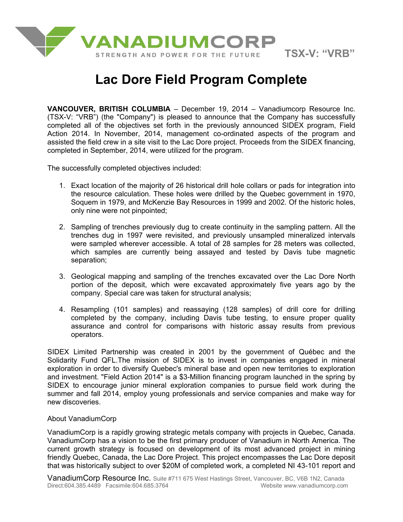

# **Lac Dore Field Program Complete**

**VANCOUVER, BRITISH COLUMBIA** – December 19, 2014 – Vanadiumcorp Resource Inc. (TSX-V: "VRB") (the "Company") is pleased to announce that the Company has successfully completed all of the objectives set forth in the previously announced SIDEX program, Field Action 2014. In November, 2014, management co-ordinated aspects of the program and assisted the field crew in a site visit to the Lac Dore project. Proceeds from the SIDEX financing, completed in September, 2014, were utilized for the program.

The successfully completed objectives included:

- 1. Exact location of the majority of 26 historical drill hole collars or pads for integration into the resource calculation. These holes were drilled by the Quebec government in 1970, Soquem in 1979, and McKenzie Bay Resources in 1999 and 2002. Of the historic holes, only nine were not pinpointed;
- 2. Sampling of trenches previously dug to create continuity in the sampling pattern. All the trenches dug in 1997 were revisited, and previously unsampled mineralized intervals were sampled wherever accessible. A total of 28 samples for 28 meters was collected, which samples are currently being assayed and tested by Davis tube magnetic separation;
- 3. Geological mapping and sampling of the trenches excavated over the Lac Dore North portion of the deposit, which were excavated approximately five years ago by the company. Special care was taken for structural analysis;
- 4. Resampling (101 samples) and reassaying (128 samples) of drill core for drilling completed by the company, including Davis tube testing, to ensure proper quality assurance and control for comparisons with historic assay results from previous operators.

SIDEX Limited Partnership was created in 2001 by the government of Québec and the Solidarity Fund QFL.The mission of SIDEX is to invest in companies engaged in mineral exploration in order to diversify Quebec's mineral base and open new territories to exploration and investment. "Field Action 2014" is a \$3-Million financing program launched in the spring by SIDEX to encourage junior mineral exploration companies to pursue field work during the summer and fall 2014, employ young professionals and service companies and make way for new discoveries.

## About VanadiumCorp

VanadiumCorp is a rapidly growing strategic metals company with projects in Quebec, Canada. VanadiumCorp has a vision to be the first primary producer of Vanadium in North America. The current growth strategy is focused on development of its most advanced project in mining friendly Quebec, Canada, the Lac Dore Project. This project encompasses the Lac Dore deposit that was historically subject to over \$20M of completed work, a completed NI 43-101 report and

VanadiumCorp Resource Inc. Suite #711 675 West Hastings Street, Vancouver, BC, V6B 1N2, Canada<br>Direct:604.385.4489 Facsimile:604.685.3764 Website www.vanadiumcorp.com Direct:604.385.4489 Facsimile:604.685.3764